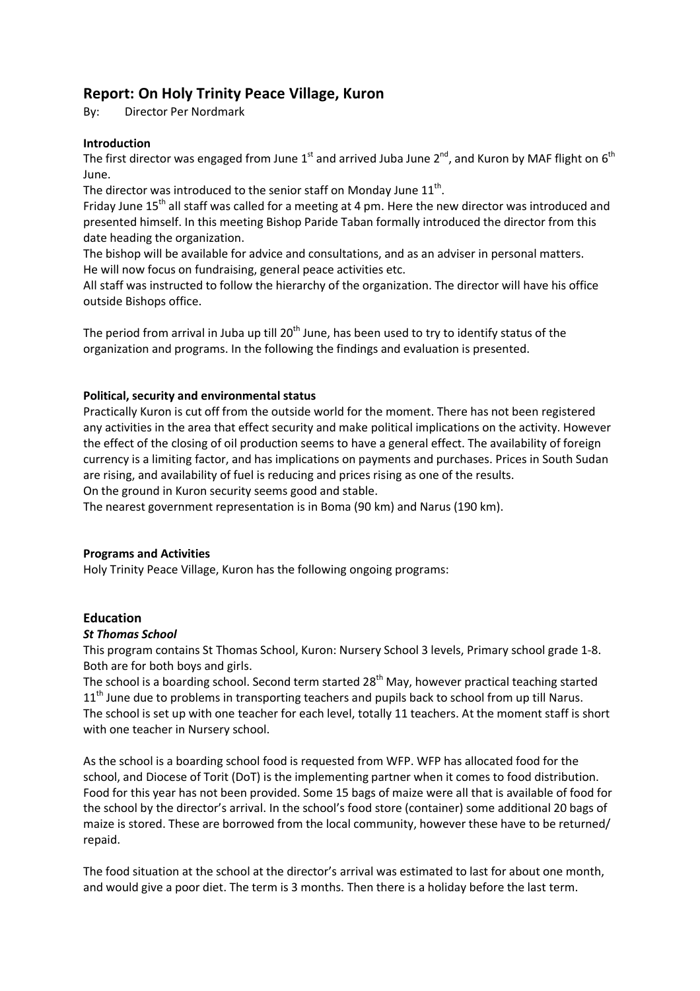# **Report: On Holy Trinity Peace Village, Kuron**

By: Director Per Nordmark

## **Introduction**

The first director was engaged from June 1<sup>st</sup> and arrived Juba June 2<sup>nd</sup>, and Kuron by MAF flight on 6<sup>th</sup> June.

The director was introduced to the senior staff on Monday June  $11^{\text{th}}$ .

Friday June  $15<sup>th</sup>$  all staff was called for a meeting at 4 pm. Here the new director was introduced and presented himself. In this meeting Bishop Paride Taban formally introduced the director from this date heading the organization.

The bishop will be available for advice and consultations, and as an adviser in personal matters. He will now focus on fundraising, general peace activities etc.

All staff was instructed to follow the hierarchy of the organization. The director will have his office outside Bishops office.

The period from arrival in Juba up till 20<sup>th</sup> June, has been used to try to identify status of the organization and programs. In the following the findings and evaluation is presented.

### **Political, security and environmental status**

Practically Kuron is cut off from the outside world for the moment. There has not been registered any activities in the area that effect security and make political implications on the activity. However the effect of the closing of oil production seems to have a general effect. The availability of foreign currency is a limiting factor, and has implications on payments and purchases. Prices in South Sudan are rising, and availability of fuel is reducing and prices rising as one of the results.

On the ground in Kuron security seems good and stable.

The nearest government representation is in Boma (90 km) and Narus (190 km).

### **Programs and Activities**

Holy Trinity Peace Village, Kuron has the following ongoing programs:

### **Education**

### *St Thomas School*

This program contains St Thomas School, Kuron: Nursery School 3 levels, Primary school grade 1-8. Both are for both boys and girls.

The school is a boarding school. Second term started 28<sup>th</sup> May, however practical teaching started  $11<sup>th</sup>$  June due to problems in transporting teachers and pupils back to school from up till Narus. The school is set up with one teacher for each level, totally 11 teachers. At the moment staff is short with one teacher in Nursery school.

As the school is a boarding school food is requested from WFP. WFP has allocated food for the school, and Diocese of Torit (DoT) is the implementing partner when it comes to food distribution. Food for this year has not been provided. Some 15 bags of maize were all that is available of food for the school by the director's arrival. In the school's food store (container) some additional 20 bags of maize is stored. These are borrowed from the local community, however these have to be returned/ repaid.

The food situation at the school at the director's arrival was estimated to last for about one month, and would give a poor diet. The term is 3 months. Then there is a holiday before the last term.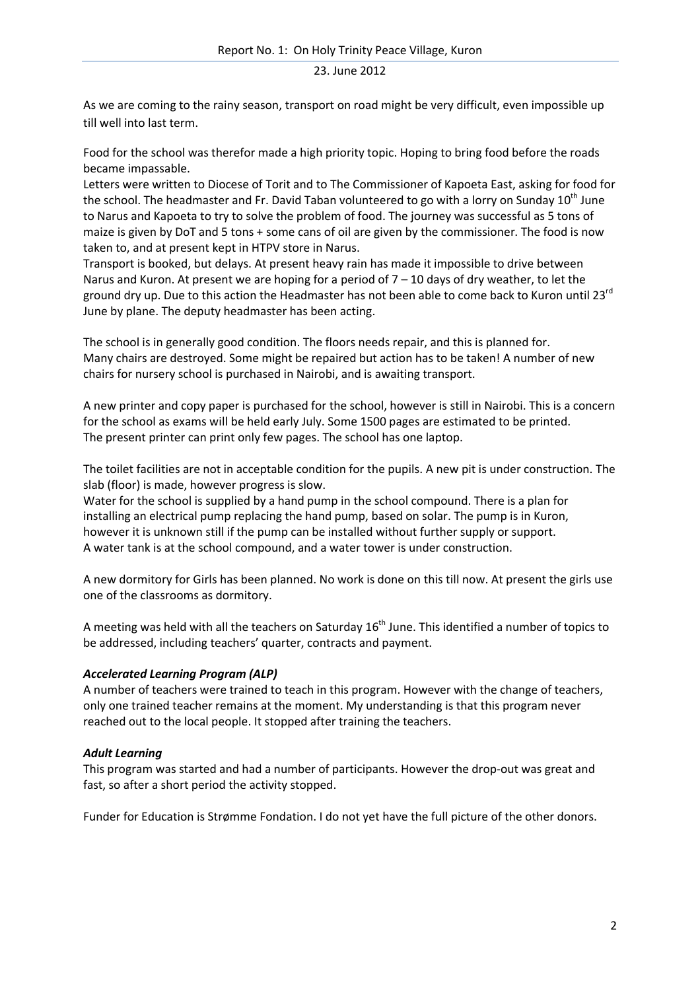As we are coming to the rainy season, transport on road might be very difficult, even impossible up till well into last term.

Food for the school was therefor made a high priority topic. Hoping to bring food before the roads became impassable.

Letters were written to Diocese of Torit and to The Commissioner of Kapoeta East, asking for food for the school. The headmaster and Fr. David Taban volunteered to go with a lorry on Sunday 10<sup>th</sup> June to Narus and Kapoeta to try to solve the problem of food. The journey was successful as 5 tons of maize is given by DoT and 5 tons + some cans of oil are given by the commissioner. The food is now taken to, and at present kept in HTPV store in Narus.

Transport is booked, but delays. At present heavy rain has made it impossible to drive between Narus and Kuron. At present we are hoping for a period of  $7 - 10$  days of dry weather, to let the ground dry up. Due to this action the Headmaster has not been able to come back to Kuron until 23<sup>rd</sup> June by plane. The deputy headmaster has been acting.

The school is in generally good condition. The floors needs repair, and this is planned for. Many chairs are destroyed. Some might be repaired but action has to be taken! A number of new chairs for nursery school is purchased in Nairobi, and is awaiting transport.

A new printer and copy paper is purchased for the school, however is still in Nairobi. This is a concern for the school as exams will be held early July. Some 1500 pages are estimated to be printed. The present printer can print only few pages. The school has one laptop.

The toilet facilities are not in acceptable condition for the pupils. A new pit is under construction. The slab (floor) is made, however progress is slow.

Water for the school is supplied by a hand pump in the school compound. There is a plan for installing an electrical pump replacing the hand pump, based on solar. The pump is in Kuron, however it is unknown still if the pump can be installed without further supply or support. A water tank is at the school compound, and a water tower is under construction.

A new dormitory for Girls has been planned. No work is done on this till now. At present the girls use one of the classrooms as dormitory.

A meeting was held with all the teachers on Saturday  $16<sup>th</sup>$  June. This identified a number of topics to be addressed, including teachers' quarter, contracts and payment.

### *Accelerated Learning Program (ALP)*

A number of teachers were trained to teach in this program. However with the change of teachers, only one trained teacher remains at the moment. My understanding is that this program never reached out to the local people. It stopped after training the teachers.

### *Adult Learning*

This program was started and had a number of participants. However the drop-out was great and fast, so after a short period the activity stopped.

Funder for Education is Strømme Fondation. I do not yet have the full picture of the other donors.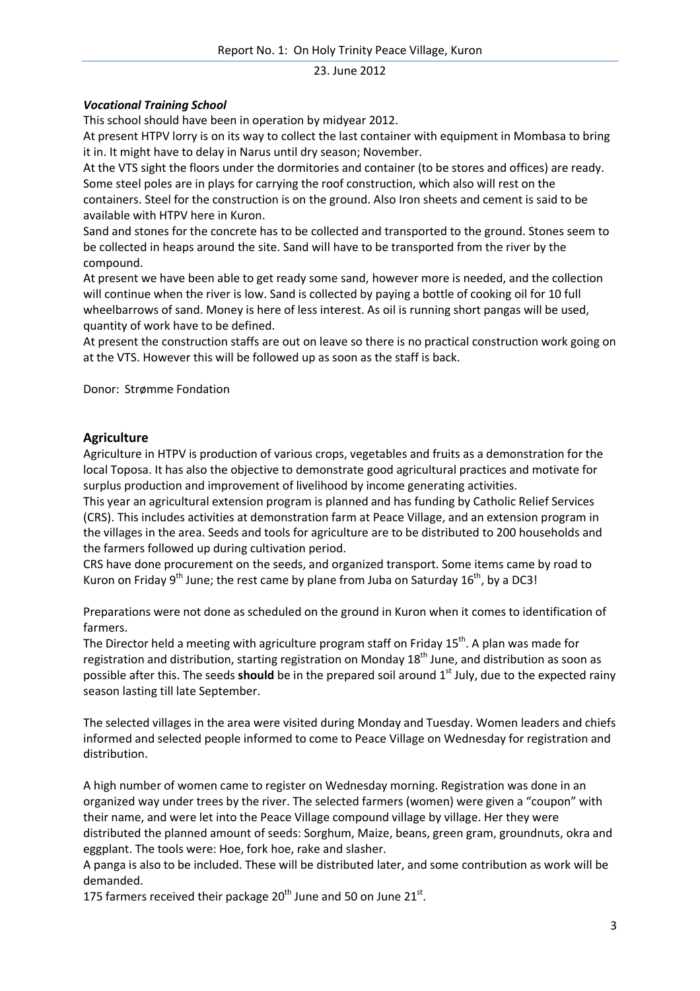# *Vocational Training School*

This school should have been in operation by midyear 2012.

At present HTPV lorry is on its way to collect the last container with equipment in Mombasa to bring it in. It might have to delay in Narus until dry season; November.

At the VTS sight the floors under the dormitories and container (to be stores and offices) are ready. Some steel poles are in plays for carrying the roof construction, which also will rest on the containers. Steel for the construction is on the ground. Also Iron sheets and cement is said to be available with HTPV here in Kuron.

Sand and stones for the concrete has to be collected and transported to the ground. Stones seem to be collected in heaps around the site. Sand will have to be transported from the river by the compound.

At present we have been able to get ready some sand, however more is needed, and the collection will continue when the river is low. Sand is collected by paying a bottle of cooking oil for 10 full wheelbarrows of sand. Money is here of less interest. As oil is running short pangas will be used, quantity of work have to be defined.

At present the construction staffs are out on leave so there is no practical construction work going on at the VTS. However this will be followed up as soon as the staff is back.

Donor: Strømme Fondation

### **Agriculture**

Agriculture in HTPV is production of various crops, vegetables and fruits as a demonstration for the local Toposa. It has also the objective to demonstrate good agricultural practices and motivate for surplus production and improvement of livelihood by income generating activities.

This year an agricultural extension program is planned and has funding by Catholic Relief Services (CRS). This includes activities at demonstration farm at Peace Village, and an extension program in the villages in the area. Seeds and tools for agriculture are to be distributed to 200 households and the farmers followed up during cultivation period.

CRS have done procurement on the seeds, and organized transport. Some items came by road to Kuron on Friday 9<sup>th</sup> June; the rest came by plane from Juba on Saturday 16<sup>th</sup>, by a DC3!

Preparations were not done as scheduled on the ground in Kuron when it comes to identification of farmers.

The Director held a meeting with agriculture program staff on Friday 15<sup>th</sup>. A plan was made for registration and distribution, starting registration on Monday  $18<sup>th</sup>$  June, and distribution as soon as possible after this. The seeds **should** be in the prepared soil around 1<sup>st</sup> July, due to the expected rainy season lasting till late September.

The selected villages in the area were visited during Monday and Tuesday. Women leaders and chiefs informed and selected people informed to come to Peace Village on Wednesday for registration and distribution.

A high number of women came to register on Wednesday morning. Registration was done in an organized way under trees by the river. The selected farmers (women) were given a "coupon" with their name, and were let into the Peace Village compound village by village. Her they were distributed the planned amount of seeds: Sorghum, Maize, beans, green gram, groundnuts, okra and eggplant. The tools were: Hoe, fork hoe, rake and slasher.

A panga is also to be included. These will be distributed later, and some contribution as work will be demanded.

175 farmers received their package 20<sup>th</sup> June and 50 on June 21st.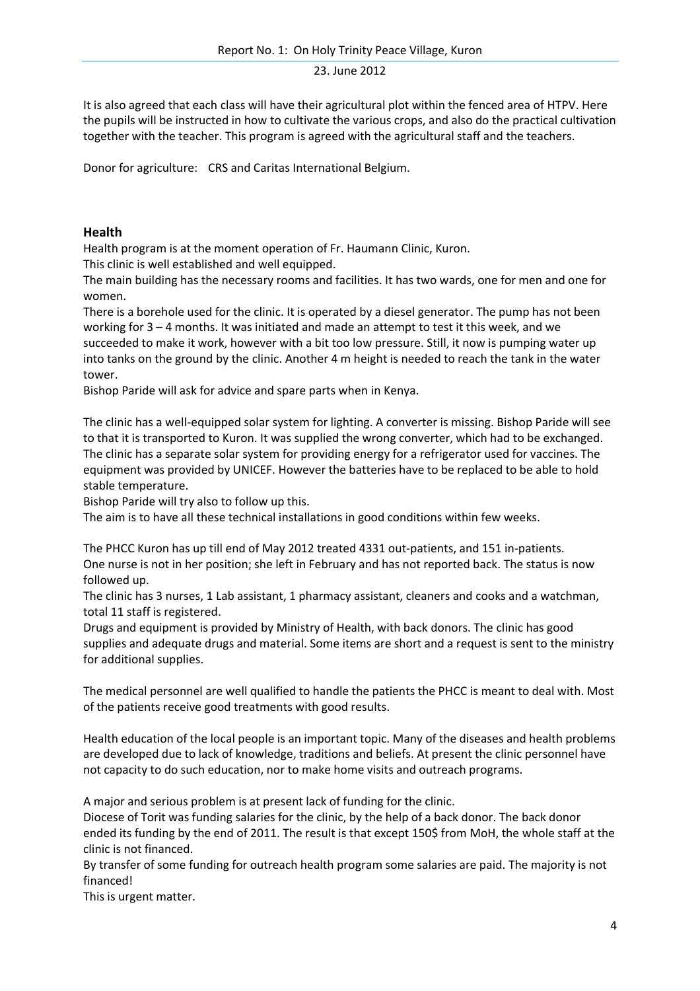It is also agreed that each class will have their agricultural plot within the fenced area of HTPV. Here the pupils will be instructed in how to cultivate the various crops, and also do the practical cultivation together with the teacher. This program is agreed with the agricultural staff and the teachers.

Donor for agriculture: CRS and Caritas International Belgium.

## **Health**

Health program is at the moment operation of Fr. Haumann Clinic, Kuron.

This clinic is well established and well equipped.

The main building has the necessary rooms and facilities. It has two wards, one for men and one for women.

There is a borehole used for the clinic. It is operated by a diesel generator. The pump has not been working for 3 – 4 months. It was initiated and made an attempt to test it this week, and we succeeded to make it work, however with a bit too low pressure. Still, it now is pumping water up into tanks on the ground by the clinic. Another 4 m height is needed to reach the tank in the water tower.

Bishop Paride will ask for advice and spare parts when in Kenya.

The clinic has a well-equipped solar system for lighting. A converter is missing. Bishop Paride will see to that it is transported to Kuron. It was supplied the wrong converter, which had to be exchanged. The clinic has a separate solar system for providing energy for a refrigerator used for vaccines. The equipment was provided by UNICEF. However the batteries have to be replaced to be able to hold stable temperature.

Bishop Paride will try also to follow up this.

The aim is to have all these technical installations in good conditions within few weeks.

The PHCC Kuron has up till end of May 2012 treated 4331 out-patients, and 151 in-patients. One nurse is not in her position; she left in February and has not reported back. The status is now followed up.

The clinic has 3 nurses, 1 Lab assistant, 1 pharmacy assistant, cleaners and cooks and a watchman, total 11 staff is registered.

Drugs and equipment is provided by Ministry of Health, with back donors. The clinic has good supplies and adequate drugs and material. Some items are short and a request is sent to the ministry for additional supplies.

The medical personnel are well qualified to handle the patients the PHCC is meant to deal with. Most of the patients receive good treatments with good results.

Health education of the local people is an important topic. Many of the diseases and health problems are developed due to lack of knowledge, traditions and beliefs. At present the clinic personnel have not capacity to do such education, nor to make home visits and outreach programs.

A major and serious problem is at present lack of funding for the clinic.

Diocese of Torit was funding salaries for the clinic, by the help of a back donor. The back donor ended its funding by the end of 2011. The result is that except 150\$ from MoH, the whole staff at the clinic is not financed.

By transfer of some funding for outreach health program some salaries are paid. The majority is not financed!

This is urgent matter.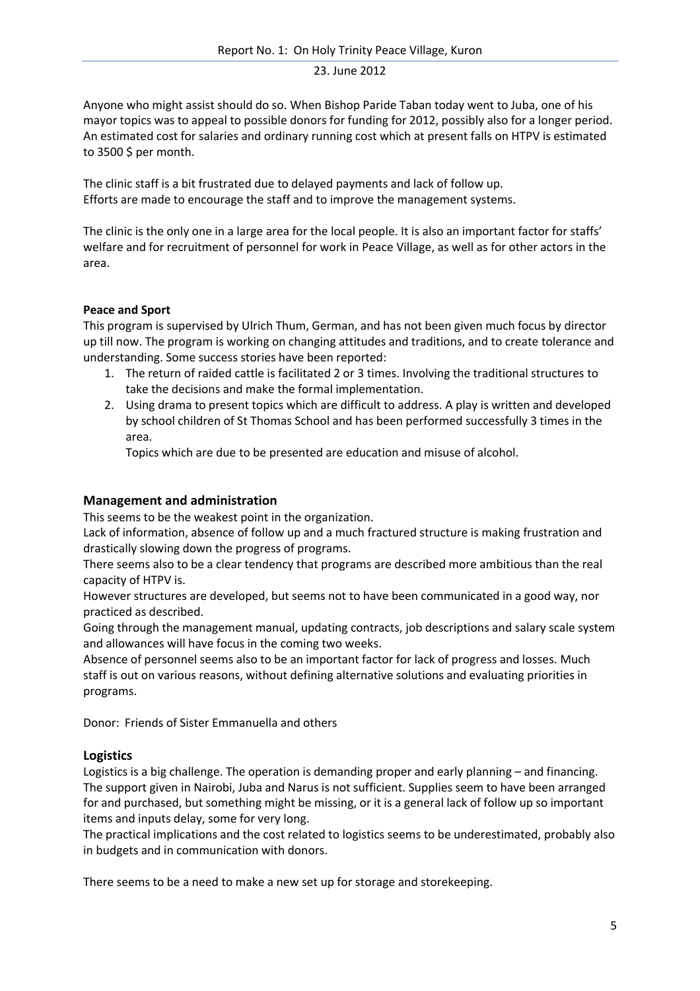Anyone who might assist should do so. When Bishop Paride Taban today went to Juba, one of his mayor topics was to appeal to possible donors for funding for 2012, possibly also for a longer period. An estimated cost for salaries and ordinary running cost which at present falls on HTPV is estimated to 3500 \$ per month.

The clinic staff is a bit frustrated due to delayed payments and lack of follow up. Efforts are made to encourage the staff and to improve the management systems.

The clinic is the only one in a large area for the local people. It is also an important factor for staffs' welfare and for recruitment of personnel for work in Peace Village, as well as for other actors in the area.

# **Peace and Sport**

This program is supervised by Ulrich Thum, German, and has not been given much focus by director up till now. The program is working on changing attitudes and traditions, and to create tolerance and understanding. Some success stories have been reported:

- 1. The return of raided cattle is facilitated 2 or 3 times. Involving the traditional structures to take the decisions and make the formal implementation.
- 2. Using drama to present topics which are difficult to address. A play is written and developed by school children of St Thomas School and has been performed successfully 3 times in the area.

Topics which are due to be presented are education and misuse of alcohol.

# **Management and administration**

This seems to be the weakest point in the organization.

Lack of information, absence of follow up and a much fractured structure is making frustration and drastically slowing down the progress of programs.

There seems also to be a clear tendency that programs are described more ambitious than the real capacity of HTPV is.

However structures are developed, but seems not to have been communicated in a good way, nor practiced as described.

Going through the management manual, updating contracts, job descriptions and salary scale system and allowances will have focus in the coming two weeks.

Absence of personnel seems also to be an important factor for lack of progress and losses. Much staff is out on various reasons, without defining alternative solutions and evaluating priorities in programs.

Donor: Friends of Sister Emmanuella and others

# **Logistics**

Logistics is a big challenge. The operation is demanding proper and early planning – and financing. The support given in Nairobi, Juba and Narus is not sufficient. Supplies seem to have been arranged for and purchased, but something might be missing, or it is a general lack of follow up so important items and inputs delay, some for very long.

The practical implications and the cost related to logistics seems to be underestimated, probably also in budgets and in communication with donors.

There seems to be a need to make a new set up for storage and storekeeping.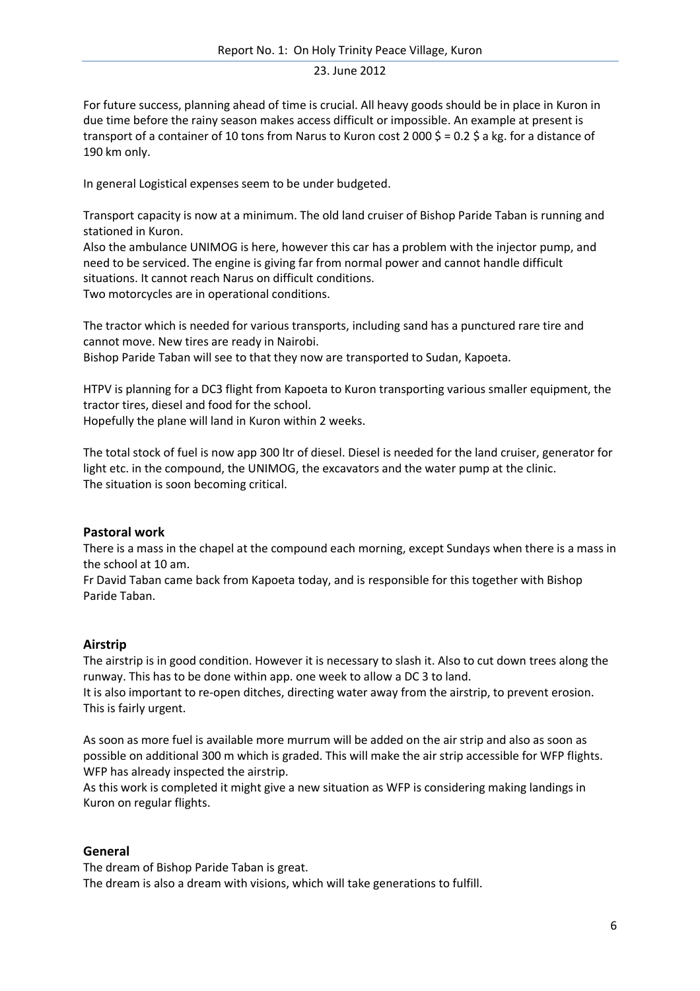For future success, planning ahead of time is crucial. All heavy goods should be in place in Kuron in due time before the rainy season makes access difficult or impossible. An example at present is transport of a container of 10 tons from Narus to Kuron cost 2 000 \$ = 0.2 \$ a kg. for a distance of 190 km only.

In general Logistical expenses seem to be under budgeted.

Transport capacity is now at a minimum. The old land cruiser of Bishop Paride Taban is running and stationed in Kuron.

Also the ambulance UNIMOG is here, however this car has a problem with the injector pump, and need to be serviced. The engine is giving far from normal power and cannot handle difficult situations. It cannot reach Narus on difficult conditions. Two motorcycles are in operational conditions.

The tractor which is needed for various transports, including sand has a punctured rare tire and cannot move. New tires are ready in Nairobi.

Bishop Paride Taban will see to that they now are transported to Sudan, Kapoeta.

HTPV is planning for a DC3 flight from Kapoeta to Kuron transporting various smaller equipment, the tractor tires, diesel and food for the school.

Hopefully the plane will land in Kuron within 2 weeks.

The total stock of fuel is now app 300 ltr of diesel. Diesel is needed for the land cruiser, generator for light etc. in the compound, the UNIMOG, the excavators and the water pump at the clinic. The situation is soon becoming critical.

### **Pastoral work**

There is a mass in the chapel at the compound each morning, except Sundays when there is a mass in the school at 10 am.

Fr David Taban came back from Kapoeta today, and is responsible for this together with Bishop Paride Taban.

### **Airstrip**

The airstrip is in good condition. However it is necessary to slash it. Also to cut down trees along the runway. This has to be done within app. one week to allow a DC 3 to land.

It is also important to re-open ditches, directing water away from the airstrip, to prevent erosion. This is fairly urgent.

As soon as more fuel is available more murrum will be added on the air strip and also as soon as possible on additional 300 m which is graded. This will make the air strip accessible for WFP flights. WFP has already inspected the airstrip.

As this work is completed it might give a new situation as WFP is considering making landings in Kuron on regular flights.

### **General**

The dream of Bishop Paride Taban is great. The dream is also a dream with visions, which will take generations to fulfill.